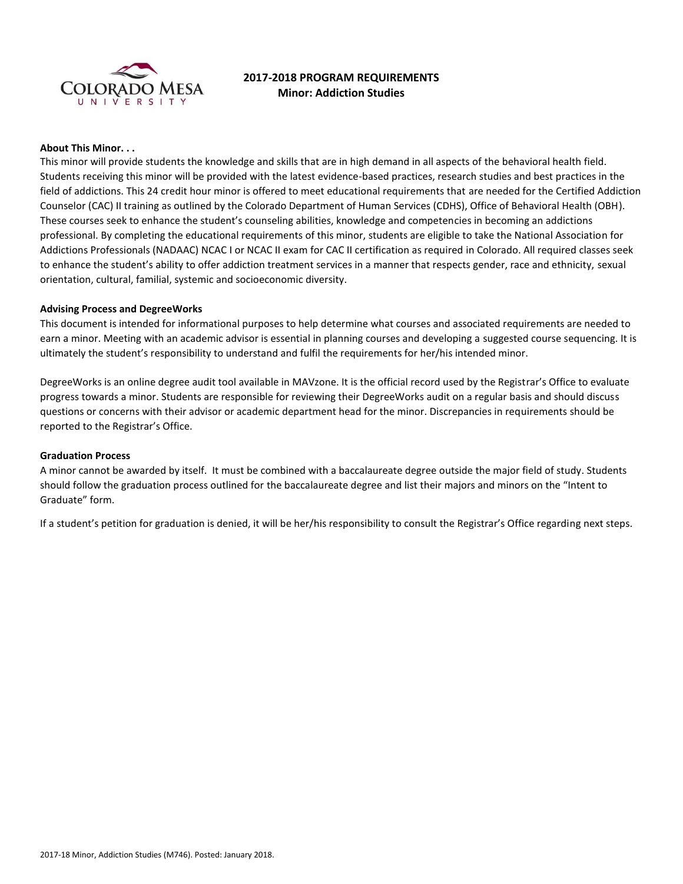

# **2017-2018 PROGRAM REQUIREMENTS Minor: Addiction Studies**

# **About This Minor. . .**

This minor will provide students the knowledge and skills that are in high demand in all aspects of the behavioral health field. Students receiving this minor will be provided with the latest evidence-based practices, research studies and best practices in the field of addictions. This 24 credit hour minor is offered to meet educational requirements that are needed for the Certified Addiction Counselor (CAC) II training as outlined by the Colorado Department of Human Services (CDHS), Office of Behavioral Health (OBH). These courses seek to enhance the student's counseling abilities, knowledge and competencies in becoming an addictions professional. By completing the educational requirements of this minor, students are eligible to take the National Association for Addictions Professionals (NADAAC) NCAC I or NCAC II exam for CAC II certification as required in Colorado. All required classes seek to enhance the student's ability to offer addiction treatment services in a manner that respects gender, race and ethnicity, sexual orientation, cultural, familial, systemic and socioeconomic diversity.

### **Advising Process and DegreeWorks**

This document is intended for informational purposes to help determine what courses and associated requirements are needed to earn a minor. Meeting with an academic advisor is essential in planning courses and developing a suggested course sequencing. It is ultimately the student's responsibility to understand and fulfil the requirements for her/his intended minor.

DegreeWorks is an online degree audit tool available in MAVzone. It is the official record used by the Registrar's Office to evaluate progress towards a minor. Students are responsible for reviewing their DegreeWorks audit on a regular basis and should discuss questions or concerns with their advisor or academic department head for the minor. Discrepancies in requirements should be reported to the Registrar's Office.

#### **Graduation Process**

A minor cannot be awarded by itself. It must be combined with a baccalaureate degree outside the major field of study. Students should follow the graduation process outlined for the baccalaureate degree and list their majors and minors on the "Intent to Graduate" form.

If a student's petition for graduation is denied, it will be her/his responsibility to consult the Registrar's Office regarding next steps.